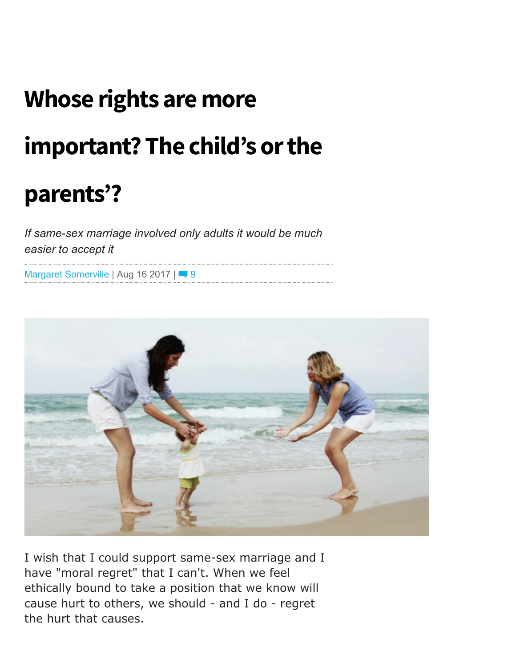## Whose rights are more

## important? The child's or the

## parents'?

If same-sex marriage involved only adults it would be much easier to accept it

Margaret [Somerville](https://www.mercatornet.com/articles/multiple_author/Margaret_Somerville) | Aug 16 2017 | 9



I wish that I could support same-sex marriage and I have "moral regret" that I can't. When we feel ethically bound to take a position that we know will cause hurt to others, we should - and I do - regret the hurt that causes.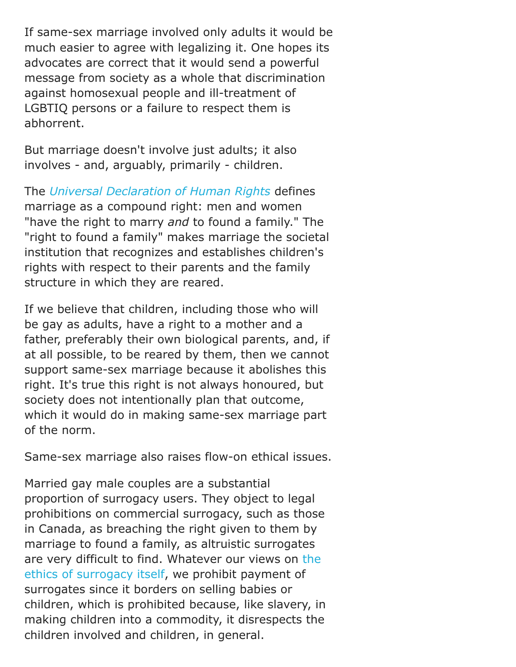If same-sex marriage involved only adults it would be much easier to agree with legalizing it. One hopes its advocates are correct that it would send a powerful message from society as a whole that discrimination against homosexual people and ill-treatment of LGBTIQ persons or a failure to respect them is abhorrent.

But marriage doesn't involve just adults; it also involves - and, arguably, primarily - children.

The Universal [Declaration](http://www.un.org/en/universal-declaration-human-rights/) of Human Rights defines marriage as a compound right: men and women "have the right to marry and to found a family." The "right to found a family" makes marriage the societal institution that recognizes and establishes children's rights with respect to their parents and the family structure in which they are reared.

If we believe that children, including those who will be gay as adults, have a right to a mother and a father, preferably their own biological parents, and, if at all possible, to be reared by them, then we cannot support same-sex marriage because it abolishes this right. It's true this right is not always honoured, but society does not intentionally plan that outcome, which it would do in making same-sex marriage part of the norm.

Same-sex marriage also raises flow-on ethical issues.

Married gay male couples are a substantial proportion of surrogacy users. They object to legal prohibitions on commercial surrogacy, such as those in Canada, as breaching the right given to them by marriage to found a family, as altruistic surrogates are very difficult to find. Whatever our views on the ethics of [surrogacy](http://www.abc.net.au/religion/articles/2015/05/18/4237872.htm) itself, we prohibit payment of surrogates since it borders on selling babies or children, which is prohibited because, like slavery, in making children into a commodity, it disrespects the children involved and children, in general.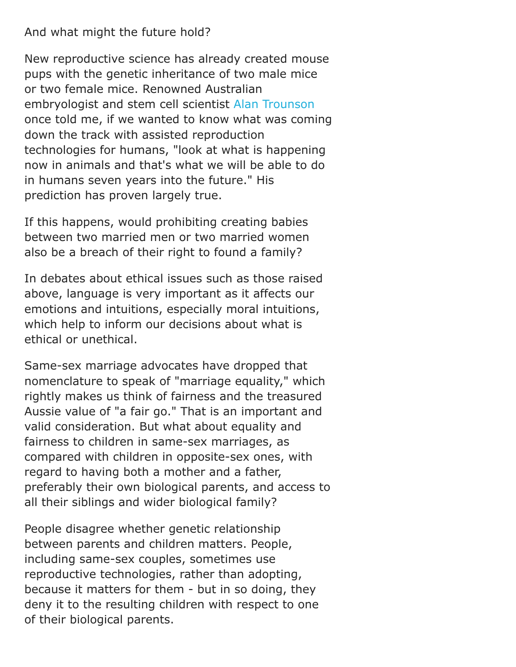## And what might the future hold?

New reproductive science has already created mouse pups with the genetic inheritance of two male mice or two female mice. Renowned Australian embryologist and stem cell scientist Alan [Trounson](http://hudson.org.au/researcher-profile/alan-trounson/) once told me, if we wanted to know what was coming down the track with assisted reproduction technologies for humans, "look at what is happening now in animals and that's what we will be able to do in humans seven years into the future." His prediction has proven largely true.

If this happens, would prohibiting creating babies between two married men or two married women also be a breach of their right to found a family?

In debates about ethical issues such as those raised above, language is very important as it affects our emotions and intuitions, especially moral intuitions, which help to inform our decisions about what is ethical or unethical.

Same-sex marriage advocates have dropped that nomenclature to speak of "marriage equality," which rightly makes us think of fairness and the treasured Aussie value of "a fair go." That is an important and valid consideration. But what about equality and fairness to children in same-sex marriages, as compared with children in opposite-sex ones, with regard to having both a mother and a father, preferably their own biological parents, and access to all their siblings and wider biological family?

People disagree whether genetic relationship between parents and children matters. People, including same-sex couples, sometimes use reproductive technologies, rather than adopting, because it matters for them - but in so doing, they deny it to the resulting children with respect to one of their biological parents.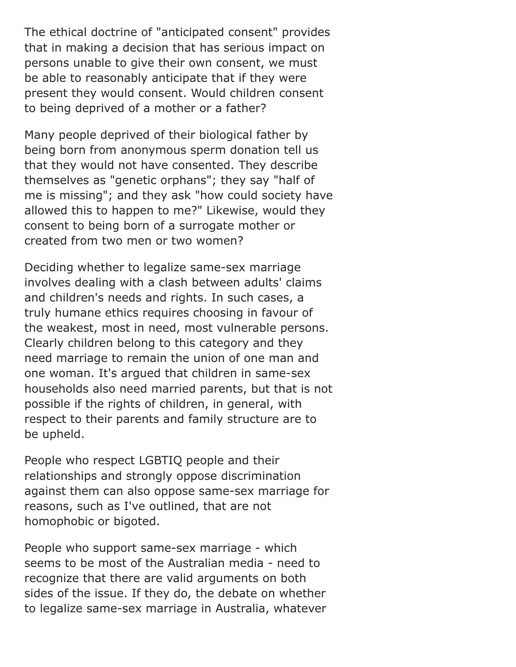The ethical doctrine of "anticipated consent" provides that in making a decision that has serious impact on persons unable to give their own consent, we must be able to reasonably anticipate that if they were present they would consent. Would children consent to being deprived of a mother or a father?

Many people deprived of their biological father by being born from anonymous sperm donation tell us that they would not have consented. They describe themselves as "genetic orphans"; they say "half of me is missing"; and they ask "how could society have allowed this to happen to me?" Likewise, would they consent to being born of a surrogate mother or created from two men or two women?

Deciding whether to legalize same-sex marriage involves dealing with a clash between adults' claims and children's needs and rights. In such cases, a truly humane ethics requires choosing in favour of the weakest, most in need, most vulnerable persons. Clearly children belong to this category and they need marriage to remain the union of one man and one woman. It's argued that children in same-sex households also need married parents, but that is not possible if the rights of children, in general, with respect to their parents and family structure are to be upheld.

People who respect LGBTIQ people and their relationships and strongly oppose discrimination against them can also oppose same-sex marriage for reasons, such as I've outlined, that are not homophobic or bigoted.

People who support same-sex marriage - which seems to be most of the Australian media - need to recognize that there are valid arguments on both sides of the issue. If they do, the debate on whether to legalize same-sex marriage in Australia, whatever